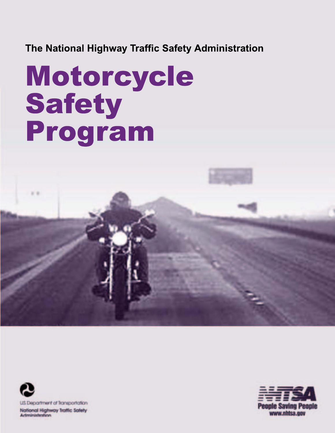**The National Highway Traffic Safety Administration**

# Motorcycle Safety Program



 $\cdots$ 

National Highway Traffic Safety **Actministration** 

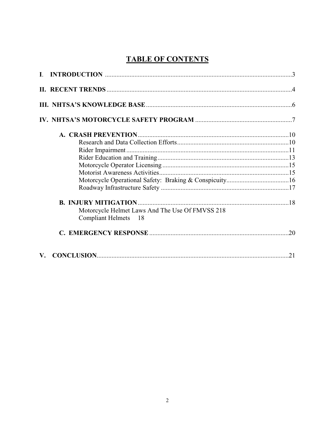# **TABLE OF CONTENTS**

|                      | Motorcycle Helmet Laws And The Use Of FMVSS 218 |  |
|----------------------|-------------------------------------------------|--|
|                      | Compliant Helmets 18                            |  |
|                      |                                                 |  |
| $\mathbf{V}_{\cdot}$ |                                                 |  |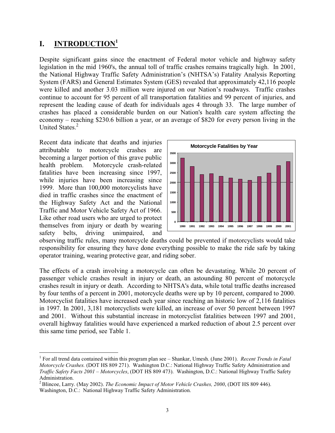## **I. INTRODUCTION1**

Despite significant gains since the enactment of Federal motor vehicle and highway safety legislation in the mid 1960's, the annual toll of traffic crashes remains tragically high. In 2001, the National Highway Traffic Safety Administration's (NHTSA's) Fatality Analysis Reporting System (FARS) and General Estimates System (GES) revealed that approximately 42,116 people were killed and another 3.03 million were injured on our Nation's roadways. Traffic crashes continue to account for 95 percent of all transportation fatalities and 99 percent of injuries, and represent the leading cause of death for individuals ages 4 through 33. The large number of crashes has placed a considerable burden on our Nation's health care system affecting the economy – reaching \$230.6 billion a year, or an average of \$820 for every person living in the United States.<sup>2</sup>

Recent data indicate that deaths and injuries attributable to motorcycle crashes are becoming a larger portion of this grave public health problem. Motorcycle crash-related fatalities have been increasing since 1997, while injuries have been increasing since 1999. More than 100,000 motorcyclists have died in traffic crashes since the enactment of the Highway Safety Act and the National Traffic and Motor Vehicle Safety Act of 1966. Like other road users who are urged to protect themselves from injury or death by wearing safety belts, driving unimpaired, and



observing traffic rules, many motorcycle deaths could be prevented if motorcyclists would take responsibility for ensuring they have done everything possible to make the ride safe by taking operator training, wearing protective gear, and riding sober.

The effects of a crash involving a motorcycle can often be devastating. While 20 percent of passenger vehicle crashes result in injury or death, an astounding 80 percent of motorcycle crashes result in injury or death. According to NHTSA's data, while total traffic deaths increased by four tenths of a percent in 2001, motorcycle deaths were up by 10 percent, compared to 2000. Motorcyclist fatalities have increased each year since reaching an historic low of 2,116 fatalities in 1997. In 2001, 3,181 motorcyclists were killed, an increase of over 50 percent between 1997 and 2001. Without this substantial increase in motorcyclist fatalities between 1997 and 2001, overall highway fatalities would have experienced a marked reduction of about 2.5 percent over this same time period, see Table 1.

<sup>&</sup>lt;sup>1</sup> For all trend data contained within this program plan see – Shankar, Umesh. (June 2001). *Recent Trends in Fatal Motorcycle Crashes.* (DOT HS 809 271). Washington D.C.: National Highway Traffic Safety Administration and *Traffic Safety Facts 2001 – Motorcycles*, (DOT HS 809 473). Washington, D.C.: National Highway Traffic Safety Administration.

2 Blincoe, Larry. (May 2002). *The Economic Impact of Motor Vehicle Crashes, 2000*, (DOT HS 809 446). Washington, D.C.: National Highway Traffic Safety Administration.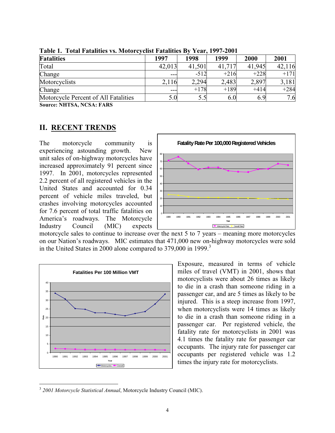| <b>Fatalities</b>                    | 1997   | 1998   | 1999   | 2000   | 2001   |
|--------------------------------------|--------|--------|--------|--------|--------|
| Total                                | 42,013 | 41,501 | 41,717 | 41,945 | 42,116 |
| Change                               | ---    | $-512$ | $+216$ | $+228$ | $+171$ |
| Motorcyclists                        | 2,116  | 2,294  | 2,483  | 2,897  | 3,181  |
| Change                               | ---    | $+178$ | $+189$ | $+414$ | $+284$ |
| Motorcycle Percent of All Fatalities | 5.0    |        | 6.0    | 6.9    | 7.6    |

**Table 1. Total Fatalities vs. Motorcyclist Fatalities By Year, 1997-2001** 

**Source: NHTSA, NCSA: FARS** 

# **II. RECENT TRENDS**

The motorcycle community is experiencing astounding growth. New unit sales of on-highway motorcycles have increased approximately 91 percent since 1997. In 2001, motorcycles represented 2.2 percent of all registered vehicles in the United States and accounted for 0.34 percent of vehicle miles traveled, but crashes involving motorcycles accounted for 7.6 percent of total traffic fatalities on America's roadways. The Motorcycle Industry Council (MIC) expects



motorcycle sales to continue to increase over the next 5 to 7 years – meaning more motorcycles on our Nation's roadways. MIC estimates that 471,000 new on-highway motorcycles were sold in the United States in 2000 alone compared to 379,000 in 1999.<sup>3</sup>



Exposure, measured in terms of vehicle **Fatalities Per 100 Million VMT** 1 miles of travel (VMT) in 2001, shows that motorcyclists were about 26 times as likely to die in a crash than someone riding in a passenger car, and are 5 times as likely to be injured. This is a steep increase from 1997, when motorcyclists were 14 times as likely to die in a crash than someone riding in a passenger car. Per registered vehicle, the 4.1 times the fatality rate for passenger car <sup>5</sup> occupants. The injury rate for passenger car occupants per registered vehicle was 1.2  $t_{\text{total}}$   $t_{\text{total}}$   $t_{\text{total}}$   $t_{\text{total}}$   $t_{\text{total}}$   $t_{\text{total}}$   $t_{\text{total}}$   $t_{\text{total}}$   $t_{\text{total}}$   $t_{\text{total}}$   $t_{\text{total}}$   $t_{\text{total}}$   $t_{\text{total}}$   $t_{\text{total}}$   $t_{\text{total}}$   $t_{\text{total}}$   $t_{\text{total}}$   $t_{\text{total}}$   $t_{\text{total}}$   $t_{\text{total}}$   $t_{\text{total}}$   $t_{\text{total}}$ 

<sup>3</sup>*2001 Motorcycle Statistical Annual*, Motorcycle Industry Council (MIC).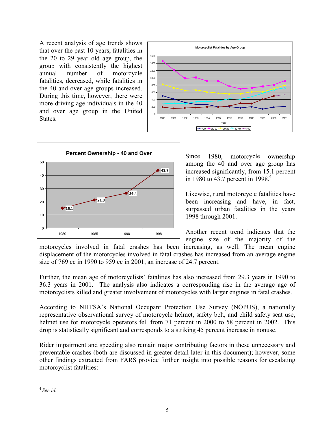A recent analysis of age trends shows that over the past 10 years, fatalities in the 20 to 29 year old age group, the group with consistently the highest annual number of motorcycle fatalities, decreased, while fatalities in the 40 and over age groups increased. During this time, however, there were more driving age individuals in the 40 and over age group in the United **States** number





Since 1980, motorcycle ownership among the 40 and over age group has increased significantly, from 15.1 percent in 1980 to 43.7 percent in 1998.<sup>4</sup>

Likewise, rural motorcycle fatalities have been increasing and have, in fact, surpassed urban fatalities in the years 1998 through 2001.

Another recent trend indicates that the engine size of the majority of the

motorcycles involved in fatal crashes has been increasing, as well. The mean engine displacement of the motorcycles involved in fatal crashes has increased from an average engine size of 769 cc in 1990 to 959 cc in 2001, an increase of 24.7 percent.

Further, the mean age of motorcyclists' fatalities has also increased from 29.3 years in 1990 to 36.3 years in 2001. The analysis also indicates a corresponding rise in the average age of motorcyclists killed and greater involvement of motorcycles with larger engines in fatal crashes.

According to NHTSA's National Occupant Protection Use Survey (NOPUS), a nationally representative observational survey of motorcycle helmet, safety belt, and child safety seat use, helmet use for motorcycle operators fell from 71 percent in 2000 to 58 percent in 2002. This drop is statistically significant and corresponds to a striking 45 percent increase in nonuse.

Rider impairment and speeding also remain major contributing factors in these unnecessary and preventable crashes (both are discussed in greater detail later in this document); however, some other findings extracted from FARS provide further insight into possible reasons for escalating motorcyclist fatalities:

<sup>4</sup>*See id.*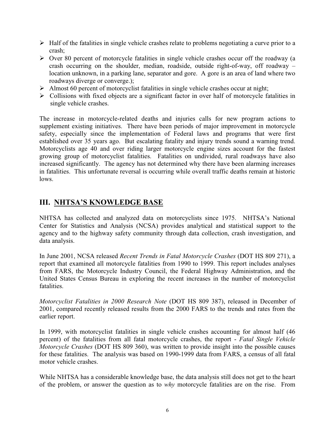- $\triangleright$  Half of the fatalities in single vehicle crashes relate to problems negotiating a curve prior to a crash;
- $\triangleright$  Over 80 percent of motorcycle fatalities in single vehicle crashes occur off the roadway (a crash occurring on the shoulder, median, roadside, outside right-of-way, off roadway – location unknown, in a parking lane, separator and gore. A gore is an area of land where two roadways diverge or converge.);
- $\triangleright$  Almost 60 percent of motorcyclist fatalities in single vehicle crashes occur at night;
- ! Collisions with fixed objects are a significant factor in over half of motorcycle fatalities in single vehicle crashes.

The increase in motorcycle-related deaths and injuries calls for new program actions to supplement existing initiatives. There have been periods of major improvement in motorcycle safety, especially since the implementation of Federal laws and programs that were first established over 35 years ago. But escalating fatality and injury trends sound a warning trend. Motorcyclists age 40 and over riding larger motorcycle engine sizes account for the fastest growing group of motorcyclist fatalities. Fatalities on undivided, rural roadways have also increased significantly. The agency has not determined why there have been alarming increases in fatalities. This unfortunate reversal is occurring while overall traffic deaths remain at historic lows.

# **III. NHTSA'S KNOWLEDGE BASE**

NHTSA has collected and analyzed data on motorcyclists since 1975. NHTSA's National Center for Statistics and Analysis (NCSA) provides analytical and statistical support to the agency and to the highway safety community through data collection, crash investigation, and data analysis.

In June 2001, NCSA released *Recent Trends in Fatal Motorcycle Crashes* (DOT HS 809 271), a report that examined all motorcycle fatalities from 1990 to 1999. This report includes analyses from FARS, the Motorcycle Industry Council, the Federal Highway Administration, and the United States Census Bureau in exploring the recent increases in the number of motorcyclist fatalities.

*Motorcyclist Fatalities in 2000 Research Note* (DOT HS 809 387), released in December of 2001, compared recently released results from the 2000 FARS to the trends and rates from the earlier report.

In 1999, with motorcyclist fatalities in single vehicle crashes accounting for almost half (46 percent) of the fatalities from all fatal motorcycle crashes, the report - *Fatal Single Vehicle Motorcycle Crashes* (DOT HS 809 360), was written to provide insight into the possible causes for these fatalities. The analysis was based on 1990-1999 data from FARS, a census of all fatal motor vehicle crashes.

While NHTSA has a considerable knowledge base, the data analysis still does not get to the heart of the problem, or answer the question as to *why* motorcycle fatalities are on the rise. From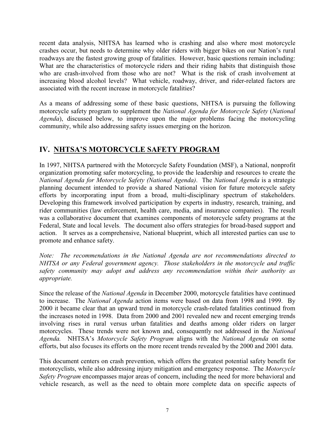recent data analysis, NHTSA has learned who is crashing and also where most motorcycle crashes occur, but needs to determine why older riders with bigger bikes on our Nation's rural roadways are the fastest growing group of fatalities. However, basic questions remain including: What are the characteristics of motorcycle riders and their riding habits that distinguish those who are crash-involved from those who are not? What is the risk of crash involvement at increasing blood alcohol levels? What vehicle, roadway, driver, and rider-related factors are associated with the recent increase in motorcycle fatalities?

As a means of addressing some of these basic questions, NHTSA is pursuing the following motorcycle safety program to supplement the *National Agenda for Motorcycle Safety* (*National Agenda*), discussed below, to improve upon the major problems facing the motorcycling community, while also addressing safety issues emerging on the horizon.

# IV. NHTSA'S MOTORCYCLE SAFETY PROGRAM

In 1997, NHTSA partnered with the Motorcycle Safety Foundation (MSF), a National, nonprofit organization promoting safer motorcycling, to provide the leadership and resources to create the *National Agenda for Motorcycle Safety (National Agenda)*. The *National Agenda* is a strategic planning document intended to provide a shared National vision for future motorcycle safety efforts by incorporating input from a broad, multi-disciplinary spectrum of stakeholders. Developing this framework involved participation by experts in industry, research, training, and rider communities (law enforcement, health care, media, and insurance companies). The result was a collaborative document that examines components of motorcycle safety programs at the Federal, State and local levels. The document also offers strategies for broad-based support and action. It serves as a comprehensive, National blueprint, which all interested parties can use to promote and enhance safety.

*Note: The recommendations in the National Agenda are not recommendations directed to NHTSA or any Federal government agency. Those stakeholders in the motorcycle and traffic safety community may adopt and address any recommendation within their authority as appropriate.* 

Since the release of the *National Agenda* in December 2000, motorcycle fatalities have continued to increase. The *National Agenda* action items were based on data from 1998 and 1999. By 2000 it became clear that an upward trend in motorcycle crash-related fatalities continued from the increases noted in 1998. Data from 2000 and 2001 revealed new and recent emerging trends involving rises in rural versus urban fatalities and deaths among older riders on larger motorcycles. These trends were not known and, consequently not addressed in the *National Agenda.* NHTSA's *Motorcycle Safety Program* aligns with the *National Agenda* on some efforts, but also focuses its efforts on the more recent trends revealed by the 2000 and 2001 data.

This document centers on crash prevention, which offers the greatest potential safety benefit for motorcyclists, while also addressing injury mitigation and emergency response. The *Motorcycle Safety Program* encompasses major areas of concern, including the need for more behavioral and vehicle research, as well as the need to obtain more complete data on specific aspects of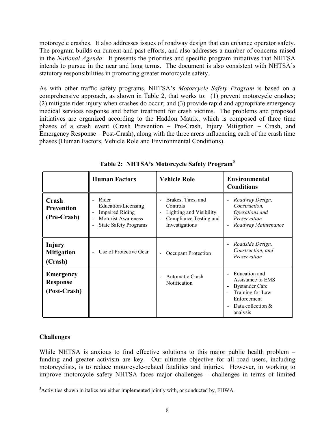motorcycle crashes. It also addresses issues of roadway design that can enhance operator safety. The program builds on current and past efforts, and also addresses a number of concerns raised in the *National Agenda*. It presents the priorities and specific program initiatives that NHTSA intends to pursue in the near and long terms. The document is also consistent with NHTSA's statutory responsibilities in promoting greater motorcycle safety.

As with other traffic safety programs, NHTSA's *Motorcycle Safety Program* is based on a comprehensive approach, as shown in Table 2, that works to: (1) prevent motorcycle crashes; (2) mitigate rider injury when crashes do occur; and (3) provide rapid and appropriate emergency medical services response and better treatment for crash victims. The problems and proposed initiatives are organized according to the Haddon Matrix, which is composed of three time phases of a crash event (Crash Prevention – Pre-Crash, Injury Mitigation – Crash, and Emergency Response – Post-Crash), along with the three areas influencing each of the crash time phases (Human Factors, Vehicle Role and Environmental Conditions).

|                                                     | <b>Human Factors</b>                                                                                                                                       | <b>Vehicle Role</b>                                                                                                     | <b>Environmental</b><br><b>Conditions</b>                                                                                                                                               |
|-----------------------------------------------------|------------------------------------------------------------------------------------------------------------------------------------------------------------|-------------------------------------------------------------------------------------------------------------------------|-----------------------------------------------------------------------------------------------------------------------------------------------------------------------------------------|
| Crash<br><b>Prevention</b><br>(Pre-Crash)           | Rider<br>Education/Licensing<br><b>Impaired Riding</b><br>۰<br><b>Motorist Awareness</b><br>L,<br><b>State Safety Programs</b><br>$\overline{\phantom{0}}$ | Brakes, Tires, and<br>Controls<br>Lighting and Visibility<br>$\blacksquare$<br>Compliance Testing and<br>Investigations | Roadway Design,<br>$\blacksquare$<br>Construction.<br>Operations and<br>Preservation<br>Roadway Maintenance<br>$\blacksquare$                                                           |
| Injury<br><b>Mitigation</b><br>(Crash)              | Use of Protective Gear                                                                                                                                     | Occupant Protection<br>$\blacksquare$                                                                                   | Roadside Design,<br>$\blacksquare$<br>Construction, and<br>Preservation                                                                                                                 |
| <b>Emergency</b><br><b>Response</b><br>(Post-Crash) |                                                                                                                                                            | Automatic Crash<br>$\blacksquare$<br>Notification                                                                       | Education and<br>Assistance to EMS<br><b>Bystander Care</b><br>$\blacksquare$<br>Training for Law<br>$\blacksquare$<br>Enforcement<br>Data collection $&$<br>$\blacksquare$<br>analysis |

**Table 2: NHTSA's Motorcycle Safety Program5** 

## **Challenges**

While NHTSA is anxious to find effective solutions to this major public health problem – funding and greater activism are key. Our ultimate objective for all road users, including motorcyclists, is to reduce motorcycle-related fatalities and injuries. However, in working to improve motorcycle safety NHTSA faces major challenges – challenges in terms of limited

<sup>&</sup>lt;sup>5</sup> Activities shown in italics are either implemented jointly with, or conducted by, FHWA.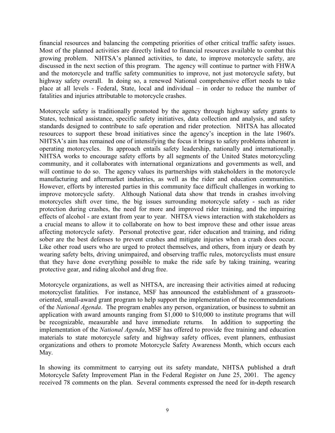financial resources and balancing the competing priorities of other critical traffic safety issues. Most of the planned activities are directly linked to financial resources available to combat this growing problem. NHTSA's planned activities, to date, to improve motorcycle safety, are discussed in the next section of this program. The agency will continue to partner with FHWA and the motorcycle and traffic safety communities to improve, not just motorcycle safety, but highway safety overall. In doing so, a renewed National comprehensive effort needs to take place at all levels - Federal, State, local and individual – in order to reduce the number of fatalities and injuries attributable to motorcycle crashes.

Motorcycle safety is traditionally promoted by the agency through highway safety grants to States, technical assistance, specific safety initiatives, data collection and analysis, and safety standards designed to contribute to safe operation and rider protection. NHTSA has allocated resources to support these broad initiatives since the agency's inception in the late 1960's. NHTSA's aim has remained one of intensifying the focus it brings to safety problems inherent in operating motorcycles. Its approach entails safety leadership, nationally and internationally. NHTSA works to encourage safety efforts by all segments of the United States motorcycling community, and it collaborates with international organizations and governments as well, and will continue to do so. The agency values its partnerships with stakeholders in the motorcycle manufacturing and aftermarket industries, as well as the rider and education communities. However, efforts by interested parties in this community face difficult challenges in working to improve motorcycle safety. Although National data show that trends in crashes involving motorcycles shift over time, the big issues surrounding motorcycle safety - such as rider protection during crashes, the need for more and improved rider training, and the impairing effects of alcohol - are extant from year to year. NHTSA views interaction with stakeholders as a crucial means to allow it to collaborate on how to best improve these and other issue areas affecting motorcycle safety. Personal protective gear, rider education and training, and riding sober are the best defenses to prevent crashes and mitigate injuries when a crash does occur. Like other road users who are urged to protect themselves, and others, from injury or death by wearing safety belts, driving unimpaired, and observing traffic rules, motorcyclists must ensure that they have done everything possible to make the ride safe by taking training, wearing protective gear, and riding alcohol and drug free.

Motorcycle organizations, as well as NHTSA, are increasing their activities aimed at reducing motorcyclist fatalities. For instance, MSF has announced the establishment of a grassrootsoriented, small-award grant program to help support the implementation of the recommendations of the *National Agenda*. The program enables any person, organization, or business to submit an application with award amounts ranging from \$1,000 to \$10,000 to institute programs that will be recognizable, measurable and have immediate returns. In addition to supporting the implementation of the *National Agenda*, MSF has offered to provide free training and education materials to state motorcycle safety and highway safety offices, event planners, enthusiast organizations and others to promote Motorcycle Safety Awareness Month, which occurs each May.

In showing its commitment to carrying out its safety mandate, NHTSA published a draft Motorcycle Safety Improvement Plan in the Federal Register on June 25, 2001. The agency received 78 comments on the plan. Several comments expressed the need for in-depth research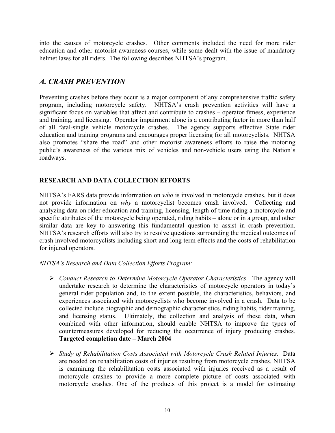into the causes of motorcycle crashes. Other comments included the need for more rider education and other motorist awareness courses, while some dealt with the issue of mandatory helmet laws for all riders. The following describes NHTSA's program.

# *A. CRASH PREVENTION*

Preventing crashes before they occur is a major component of any comprehensive traffic safety program, including motorcycle safety. NHTSA's crash prevention activities will have a significant focus on variables that affect and contribute to crashes – operator fitness, experience and training, and licensing. Operator impairment alone is a contributing factor in more than half of all fatal-single vehicle motorcycle crashes. The agency supports effective State rider education and training programs and encourages proper licensing for all motorcyclists. NHTSA also promotes "share the road" and other motorist awareness efforts to raise the motoring public's awareness of the various mix of vehicles and non-vehicle users using the Nation's roadways.

## **RESEARCH AND DATA COLLECTION EFFORTS**

NHTSA's FARS data provide information on *who* is involved in motorcycle crashes, but it does not provide information on *why* a motorcyclist becomes crash involved. Collecting and analyzing data on rider education and training, licensing, length of time riding a motorcycle and specific attributes of the motorcycle being operated, riding habits – alone or in a group, and other similar data are key to answering this fundamental question to assist in crash prevention. NHTSA's research efforts will also try to resolve questions surrounding the medical outcomes of crash involved motorcyclists including short and long term effects and the costs of rehabilitation for injured operators.

## *NHTSA's Research and Data Collection Efforts Program:*

- ! *Conduct Research to Determine Motorcycle Operator Characteristics*. The agency will undertake research to determine the characteristics of motorcycle operators in today's general rider population and, to the extent possible, the characteristics, behaviors, and experiences associated with motorcyclists who become involved in a crash. Data to be collected include biographic and demographic characteristics, riding habits, rider training, and licensing status. Ultimately, the collection and analysis of these data, when combined with other information, should enable NHTSA to improve the types of countermeasures developed for reducing the occurrence of injury producing crashes. **Targeted completion date – March 2004**
- ! *Study of Rehabilitation Costs Associated with Motorcycle Crash Related Injuries.* Data are needed on rehabilitation costs of injuries resulting from motorcycle crashes. NHTSA is examining the rehabilitation costs associated with injuries received as a result of motorcycle crashes to provide a more complete picture of costs associated with motorcycle crashes. One of the products of this project is a model for estimating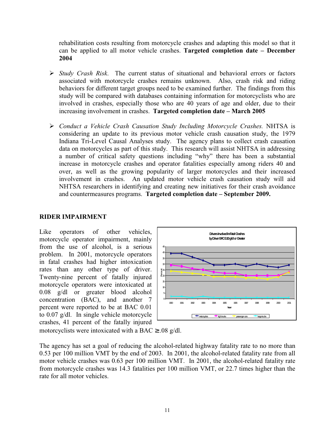rehabilitation costs resulting from motorcycle crashes and adapting this model so that it can be applied to all motor vehicle crashes. **Targeted completion date – December 2004** 

- ! *Study Crash Risk*. The current status of situational and behavioral errors or factors associated with motorcycle crashes remains unknown. Also, crash risk and riding behaviors for different target groups need to be examined further. The findings from this study will be compared with databases containing information for motorcyclists who are involved in crashes, especially those who are 40 years of age and older, due to their increasing involvement in crashes. **Targeted completion date – March 2005**
- ! *Conduct a Vehicle Crash Causation Study Including Motorcycle Crashes.* NHTSA is considering an update to its previous motor vehicle crash causation study, the 1979 Indiana Tri-Level Causal Analyses study. The agency plans to collect crash causation data on motorcycles as part of this study. This research will assist NHTSA in addressing a number of critical safety questions including "why" there has been a substantial increase in motorcycle crashes and operator fatalities especially among riders 40 and over, as well as the growing popularity of larger motorcycles and their increased involvement in crashes. An updated motor vehicle crash causation study will aid NHTSA researchers in identifying and creating new initiatives for their crash avoidance and countermeasures programs. **Targeted completion date – September 2009.**

#### **RIDER IMPAIRMENT**

Like operators of other vehicles, motorcycle operator impairment, mainly from the use of alcohol, is a serious problem. In 2001, motorcycle operators in fatal crashes had higher intoxication rates than any other type of driver. Twenty-nine percent of fatally injured motorcycle operators were intoxicated at 0.08 g/dl or greater blood alcohol concentration (BAC), and another 7 percent were reported to be at BAC 0.01 to 0.07 g/dl. In single vehicle motorcycle crashes, 41 percent of the fatally injured



motorcyclists were intoxicated with a BAC  $\geq$  0.08 g/dl.

The agency has set a goal of reducing the alcohol-related highway fatality rate to no more than 0.53 per 100 million VMT by the end of 2003. In 2001, the alcohol-related fatality rate from all motor vehicle crashes was 0.63 per 100 million VMT. In 2001, the alcohol-related fatality rate from motorcycle crashes was 14.3 fatalities per 100 million VMT, or 22.7 times higher than the rate for all motor vehicles.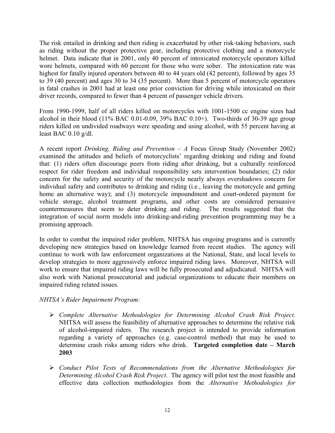The risk entailed in drinking and then riding is exacerbated by other risk-taking behaviors, such as riding without the proper protective gear, including protective clothing and a motorcycle helmet. Data indicate that in 2001, only 40 percent of intoxicated motorcycle operators killed wore helmets, compared with 60 percent for those who were sober. The intoxication rate was highest for fatally injured operators between 40 to 44 years old (42 percent), followed by ages 35 to 39 (40 percent) and ages 30 to 34 (35 percent). More than 5 percent of motorcycle operators in fatal crashes in 2001 had at least one prior conviction for driving while intoxicated on their driver records, compared to fewer than 4 percent of passenger vehicle drivers.

From 1990-1999, half of all riders killed on motorcycles with 1001-1500 cc engine sizes had alcohol in their blood  $(11\%$  BAC 0.01-0.09, 39% BAC 0.10+). Two-thirds of 30-39 age group riders killed on undivided roadways were speeding and using alcohol, with 55 percent having at least BAC 0.10 g/dl.

A recent report *Drinking, Riding and Prevention – A* Focus Group Study (November 2002) examined the attitudes and beliefs of motorcyclists' regarding drinking and riding and found that: (1) riders often discourage peers from riding after drinking, but a culturally reinforced respect for rider freedom and individual responsibility sets intervention boundaries; (2) rider concern for the safety and security of the motorcycle nearly always overshadows concern for individual safety and contributes to drinking and riding (i.e., leaving the motorcycle and getting home an alternative way); and (3) motorcycle impoundment and court-ordered payment for vehicle storage, alcohol treatment programs, and other costs are considered persuasive countermeasures that seem to deter drinking and riding. The results suggested that the integration of social norm models into drinking-and-riding prevention programming may be a promising approach.

In order to combat the impaired rider problem, NHTSA has ongoing programs and is currently developing new strategies based on knowledge learned from recent studies. The agency will continue to work with law enforcement organizations at the National, State, and local levels to develop strategies to more aggressively enforce impaired riding laws. Moreover, NHTSA will work to ensure that impaired riding laws will be fully prosecuted and adjudicated. NHTSA will also work with National prosecutorial and judicial organizations to educate their members on impaired riding related issues.

#### *NHTSA's Rider Impairment Program:*

- ! *Complete Alternative Methodologies for Determining Alcohol Crash Risk Project.*  NHTSA will assess the feasibility of alternative approaches to determine the relative risk of alcohol-impaired riders. The research project is intended to provide information regarding a variety of approaches (e.g. case-control method) that may be used to determine crash risks among riders who drink. **Targeted completion date – March 2003**
- ! *Conduct Pilot Tests of Recommendations from the Alternative Methodologies for Determining Alcohol Crash Risk Project*. The agency will pilot test the most feasible and effective data collection methodologies from the *Alternative Methodologies for*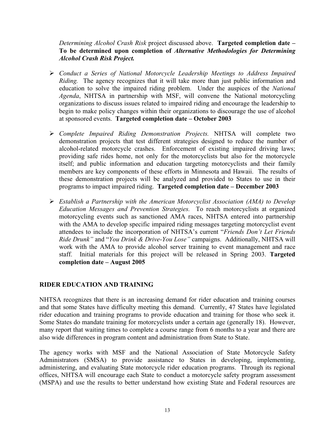*Determining Alcohol Crash Risk* project discussed above. **Targeted completion date – To be determined upon completion of** *Alternative Methodologies for Determining Alcohol Crash Risk Project.* 

- ! *Conduct a Series of National Motorcycle Leadership Meetings to Address Impaired Riding.* The agency recognizes that it will take more than just public information and education to solve the impaired riding problem. Under the auspices of the *National Agenda*, NHTSA in partnership with MSF, will convene the National motorcycling organizations to discuss issues related to impaired riding and encourage the leadership to begin to make policy changes within their organizations to discourage the use of alcohol at sponsored events. **Targeted completion date – October 2003**
- ! *Complete Impaired Riding Demonstration Projects.* NHTSA will complete two demonstration projects that test different strategies designed to reduce the number of alcohol-related motorcycle crashes. Enforcement of existing impaired driving laws; providing safe rides home, not only for the motorcyclists but also for the motorcycle itself; and public information and education targeting motorcyclists and their family members are key components of these efforts in Minnesota and Hawaii. The results of these demonstration projects will be analyzed and provided to States to use in their programs to impact impaired riding. **Targeted completion date – December 2003**
- ! *Establish a Partnership with the American Motorcyclist Association (AMA) to Develop Education Messages and Prevention Strategies.* To reach motorcyclists at organized motorcycling events such as sanctioned AMA races, NHTSA entered into partnership with the AMA to develop specific impaired riding messages targeting motorcyclist event attendees to include the incorporation of NHTSA's current "*Friends Don't Let Friends Ride Drunk"* and "*You Drink & Drive-You Lose"* campaigns. Additionally, NHTSA will work with the AMA to provide alcohol server training to event management and race staff. Initial materials for this project will be released in Spring 2003. **Targeted completion date – August 2005**

## **RIDER EDUCATION AND TRAINING**

NHTSA recognizes that there is an increasing demand for rider education and training courses and that some States have difficulty meeting this demand. Currently, 47 States have legislated rider education and training programs to provide education and training for those who seek it. Some States do mandate training for motorcyclists under a certain age (generally 18). However, many report that waiting times to complete a course range from 6 months to a year and there are also wide differences in program content and administration from State to State.

The agency works with MSF and the National Association of State Motorcycle Safety Administrators (SMSA) to provide assistance to States in developing, implementing, administering, and evaluating State motorcycle rider education programs. Through its regional offices, NHTSA will encourage each State to conduct a motorcycle safety program assessment (MSPA) and use the results to better understand how existing State and Federal resources are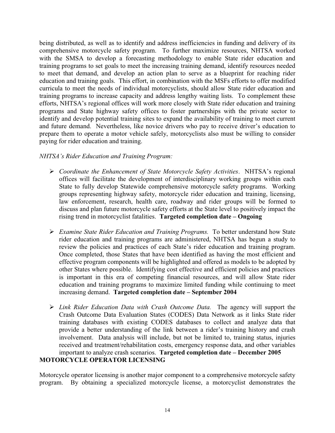being distributed, as well as to identify and address inefficiencies in funding and delivery of its comprehensive motorcycle safety program. To further maximize resources, NHTSA worked with the SMSA to develop a forecasting methodology to enable State rider education and training programs to set goals to meet the increasing training demand, identify resources needed to meet that demand, and develop an action plan to serve as a blueprint for reaching rider education and training goals. This effort, in combination with the MSFs efforts to offer modified curricula to meet the needs of individual motorcyclists, should allow State rider education and training programs to increase capacity and address lengthy waiting lists. To complement these efforts, NHTSA's regional offices will work more closely with State rider education and training programs and State highway safety offices to foster partnerships with the private sector to identify and develop potential training sites to expand the availability of training to meet current and future demand. Nevertheless, like novice drivers who pay to receive driver's education to prepare them to operate a motor vehicle safely, motorcyclists also must be willing to consider paying for rider education and training.

## *NHTSA's Rider Education and Training Program:*

- ! *Coordinate the Enhancement of State Motorcycle Safety Activities*. NHTSA's regional offices will facilitate the development of interdisciplinary working groups within each State to fully develop Statewide comprehensive motorcycle safety programs. Working groups representing highway safety, motorcycle rider education and training, licensing, law enforcement, research, health care, roadway and rider groups will be formed to discuss and plan future motorcycle safety efforts at the State level to positively impact the rising trend in motorcyclist fatalities. **Targeted completion date – Ongoing**
- ! *Examine State Rider Education and Training Programs.* To better understand how State rider education and training programs are administered, NHTSA has begun a study to review the policies and practices of each State's rider education and training program. Once completed, those States that have been identified as having the most efficient and effective program components will be highlighted and offered as models to be adopted by other States where possible. Identifying cost effective and efficient policies and practices is important in this era of competing financial resources, and will allow State rider education and training programs to maximize limited funding while continuing to meet increasing demand. **Targeted completion date – September 2004**
- ! *Link Rider Education Data with Crash Outcome Data.* The agency will support the Crash Outcome Data Evaluation States (CODES) Data Network as it links State rider training databases with existing CODES databases to collect and analyze data that provide a better understanding of the link between a rider's training history and crash involvement. Data analysis will include, but not be limited to, training status, injuries received and treatment/rehabilitation costs, emergency response data, and other variables important to analyze crash scenarios. **Targeted completion date – December 2005**

## **MOTORCYCLE OPERATOR LICENSING**

Motorcycle operator licensing is another major component to a comprehensive motorcycle safety program. By obtaining a specialized motorcycle license, a motorcyclist demonstrates the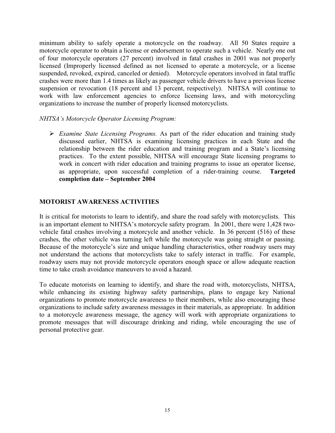minimum ability to safely operate a motorcycle on the roadway. All 50 States require a motorcycle operator to obtain a license or endorsement to operate such a vehicle. Nearly one out of four motorcycle operators (27 percent) involved in fatal crashes in 2001 was not properly licensed (Improperly licensed defined as not licensed to operate a motorcycle, or a license suspended, revoked, expired, canceled or denied). Motorcycle operators involved in fatal traffic crashes were more than 1.4 times as likely as passenger vehicle drivers to have a previous license suspension or revocation (18 percent and 13 percent, respectively). NHTSA will continue to work with law enforcement agencies to enforce licensing laws, and with motorcycling organizations to increase the number of properly licensed motorcyclists.

#### *NHTSA's Motorcycle Operator Licensing Program:*

! *Examine State Licensing Programs.* As part of the rider education and training study discussed earlier, NHTSA is examining licensing practices in each State and the relationship between the rider education and training program and a State's licensing practices. To the extent possible, NHTSA will encourage State licensing programs to work in concert with rider education and training programs to issue an operator license, as appropriate, upon successful completion of a rider-training course. **Targeted completion date – September 2004** 

#### **MOTORIST AWARENESS ACTIVITIES**

It is critical for motorists to learn to identify, and share the road safely with motorcyclists. This is an important element to NHTSA's motorcycle safety program. In 2001, there were 1,428 twovehicle fatal crashes involving a motorcycle and another vehicle. In 36 percent (516) of these crashes, the other vehicle was turning left while the motorcycle was going straight or passing. Because of the motorcycle's size and unique handling characteristics, other roadway users may not understand the actions that motorcyclists take to safely interact in traffic. For example, roadway users may not provide motorcycle operators enough space or allow adequate reaction time to take crash avoidance maneuvers to avoid a hazard.

To educate motorists on learning to identify, and share the road with, motorcyclists, NHTSA, while enhancing its existing highway safety partnerships, plans to engage key National organizations to promote motorcycle awareness to their members, while also encouraging these organizations to include safety awareness messages in their materials, as appropriate. In addition to a motorcycle awareness message, the agency will work with appropriate organizations to promote messages that will discourage drinking and riding, while encouraging the use of personal protective gear.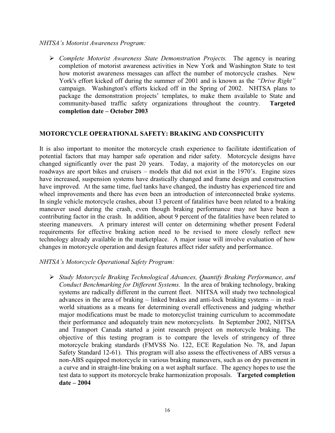#### *NHTSA's Motorist Awareness Program:*

! *Complete Motorist Awareness State Demonstration Projects.* The agency is nearing completion of motorist awareness activities in New York and Washington State to test how motorist awareness messages can affect the number of motorcycle crashes. New York's effort kicked off during the summer of 2001 and is known as the *"Drive Right"*  campaign. Washington's efforts kicked off in the Spring of 2002. NHTSA plans to package the demonstration projects' templates, to make them available to State and community-based traffic safety organizations throughout the country. **Targeted completion date – October 2003** 

#### **MOTORCYCLE OPERATIONAL SAFETY: BRAKING AND CONSPICUITY**

It is also important to monitor the motorcycle crash experience to facilitate identification of potential factors that may hamper safe operation and rider safety. Motorcycle designs have changed significantly over the past 20 years. Today, a majority of the motorcycles on our roadways are sport bikes and cruisers – models that did not exist in the 1970's. Engine sizes have increased, suspension systems have drastically changed and frame design and construction have improved. At the same time, fuel tanks have changed, the industry has experienced tire and wheel improvements and there has even been an introduction of interconnected brake systems. In single vehicle motorcycle crashes, about 13 percent of fatalities have been related to a braking maneuver used during the crash, even though braking performance may not have been a contributing factor in the crash. In addition, about 9 percent of the fatalities have been related to steering maneuvers. A primary interest will center on determining whether present Federal requirements for effective braking action need to be revised to more closely reflect new technology already available in the marketplace. A major issue will involve evaluation of how changes in motorcycle operation and design features affect rider safety and performance.

#### *NHTSA's Motorcycle Operational Safety Program:*

! *Study Motorcycle Braking Technological Advances, Quantify Braking Performance, and Conduct Benchmarking for Different Systems.* In the area of braking technology, braking systems are radically different in the current fleet. NHTSA will study two technological advances in the area of braking – linked brakes and anti-lock braking systems – in realworld situations as a means for determining overall effectiveness and judging whether major modifications must be made to motorcyclist training curriculum to accommodate their performance and adequately train new motorcyclists. In September 2002, NHTSA and Transport Canada started a joint research project on motorcycle braking. The objective of this testing program is to compare the levels of stringency of three motorcycle braking standards (FMVSS No. 122, ECE Regulation No. 78, and Japan Safety Standard 12-61). This program will also assess the effectiveness of ABS versus a non-ABS equipped motorcycle in various braking maneuvers, such as on dry pavement in a curve and in straight-line braking on a wet asphalt surface. The agency hopes to use the test data to support its motorcycle brake harmonization proposals. **Targeted completion date – 2004**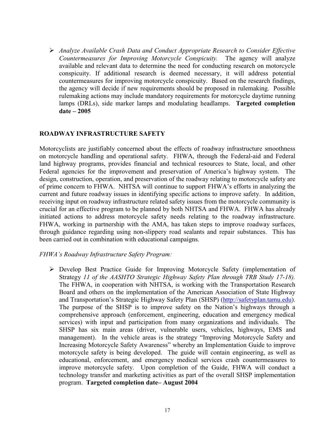! *Analyze Available Crash Data and Conduct Appropriate Research to Consider Effective Countermeasures for Improving Motorcycle Conspicuity.* The agency will analyze available and relevant data to determine the need for conducting research on motorcycle conspicuity. If additional research is deemed necessary, it will address potential countermeasures for improving motorcycle conspicuity. Based on the research findings, the agency will decide if new requirements should be proposed in rulemaking. Possible rulemaking actions may include mandatory requirements for motorcycle daytime running lamps (DRLs), side marker lamps and modulating headlamps. **Targeted completion date – 2005** 

#### **ROADWAY INFRASTRUCTURE SAFETY**

Motorcyclists are justifiably concerned about the effects of roadway infrastructure smoothness on motorcycle handling and operational safety. FHWA, through the Federal-aid and Federal land highway programs, provides financial and technical resources to State, local, and other Federal agencies for the improvement and preservation of America's highway system. The design, construction, operation, and preservation of the roadway relating to motorcycle safety are of prime concern to FHWA. NHTSA will continue to support FHWA's efforts in analyzing the current and future roadway issues in identifying specific actions to improve safety. In addition, receiving input on roadway infrastructure related safety issues from the motorcycle community is crucial for an effective program to be planned by both NHTSA and FHWA. FHWA has already initiated actions to address motorcycle safety needs relating to the roadway infrastructure. FHWA, working in partnership with the AMA, has taken steps to improve roadway surfaces, through guidance regarding using non-slippery road sealants and repair substances. This has been carried out in combination with educational campaigns.

#### *FHWA's Roadway Infrastructure Safety Program:*

! Develop Best Practice Guide for Improving Motorcycle Safety (implementation of Strategy *11 of the AASHTO Strategic Highway Safety Plan through TRB Study 17-18).*  The FHWA, in cooperation with NHTSA, is working with the Transportation Research Board and others on the implementation of the American Association of State Highway and Transportation's Strategic Highway Safety Plan (SHSP) (http://safetyplan.tamu.edu). The purpose of the SHSP is to improve safety on the Nation's highways through a comprehensive approach (enforcement, engineering, education and emergency medical services) with input and participation from many organizations and individuals. The SHSP has six main areas (driver, vulnerable users, vehicles, highways, EMS and management). In the vehicle areas is the strategy "Improving Motorcycle Safety and Increasing Motorcycle Safety Awareness" whereby an Implementation Guide to improve motorcycle safety is being developed. The guide will contain engineering, as well as educational, enforcement, and emergency medical services crash countermeasures to improve motorcycle safety. Upon completion of the Guide, FHWA will conduct a technology transfer and marketing activities as part of the overall SHSP implementation program. **Targeted completion date– August 2004**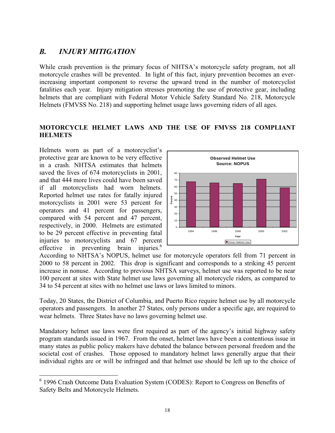# *B. INJURY MITIGATION*

While crash prevention is the primary focus of NHTSA's motorcycle safety program, not all motorcycle crashes will be prevented. In light of this fact, injury prevention becomes an everincreasing important component to reverse the upward trend in the number of motorcyclist fatalities each year. Injury mitigation stresses promoting the use of protective gear, including helmets that are compliant with Federal Motor Vehicle Safety Standard No. 218, Motorcycle Helmets (FMVSS No. 218) and supporting helmet usage laws governing riders of all ages.

## **MOTORCYCLE HELMET LAWS AND THE USE OF FMVSS 218 COMPLIANT HELMETS**

Helmets worn as part of a motorcyclist's protective gear are known to be very effective in a crash. NHTSA estimates that helmets saved the lives of 674 motorcyclists in 2001, and that 444 more lives could have been saved if all motorcyclists had worn helmets. Reported helmet use rates for fatally injured motorcyclists in 2001 were 53 percent for operators and 41 percent for passengers, compared with 54 percent and 47 percent, respectively, in 2000. Helmets are estimated to be 29 percent effective in preventing fatal injuries to motorcyclists and 67 percent effective in preventing brain injuries. $6\overline{6}$ 



According to NHTSA's NOPUS, helmet use for motorcycle operators fell from 71 percent in 2000 to 58 percent in 2002. This drop is significant and corresponds to a striking 45 percent increase in nonuse. According to previous NHTSA surveys, helmet use was reported to be near 100 percent at sites with State helmet use laws governing all motorcycle riders, as compared to 34 to 54 percent at sites with no helmet use laws or laws limited to minors.

Today, 20 States, the District of Columbia, and Puerto Rico require helmet use by all motorcycle operators and passengers. In another 27 States, only persons under a specific age, are required to wear helmets. Three States have no laws governing helmet use.

Mandatory helmet use laws were first required as part of the agency's initial highway safety program standards issued in 1967. From the onset, helmet laws have been a contentious issue in many states as public policy makers have debated the balance between personal freedom and the societal cost of crashes. Those opposed to mandatory helmet laws generally argue that their individual rights are or will be infringed and that helmet use should be left up to the choice of

<sup>&</sup>lt;sup>6</sup> 1996 Crash Outcome Data Evaluation System (CODES): Report to Congress on Benefits of Safety Belts and Motorcycle Helmets.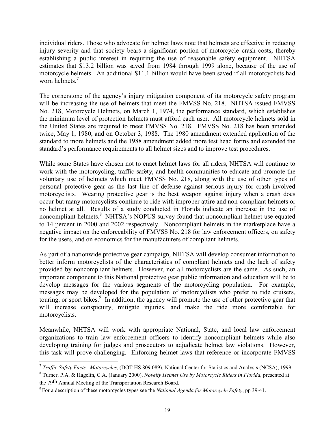individual riders. Those who advocate for helmet laws note that helmets are effective in reducing injury severity and that society bears a significant portion of motorcycle crash costs, thereby establishing a public interest in requiring the use of reasonable safety equipment. NHTSA estimates that \$13.2 billion was saved from 1984 through 1999 alone, because of the use of motorcycle helmets. An additional \$11.1 billion would have been saved if all motorcyclists had worn helmets.<sup>7</sup>

The cornerstone of the agency's injury mitigation component of its motorcycle safety program will be increasing the use of helmets that meet the FMVSS No. 218. NHTSA issued FMVSS No. 218, Motorcycle Helmets, on March 1, 1974, the performance standard, which establishes the minimum level of protection helmets must afford each user. All motorcycle helmets sold in the United States are required to meet FMVSS No. 218. FMVSS No. 218 has been amended twice, May 1, 1980, and on October 3, 1988. The 1980 amendment extended application of the standard to more helmets and the 1988 amendment added more test head forms and extended the standard's performance requirements to all helmet sizes and to improve test procedures.

While some States have chosen not to enact helmet laws for all riders, NHTSA will continue to work with the motorcycling, traffic safety, and health communities to educate and promote the voluntary use of helmets which meet FMVSS No. 218, along with the use of other types of personal protective gear as the last line of defense against serious injury for crash-involved motorcyclists*.* Wearing protective gear is the best weapon against injury when a crash does occur but many motorcyclists continue to ride with improper attire and non-compliant helmets or no helmet at all. Results of a study conducted in Florida indicate an increase in the use of noncompliant helmets.<sup>8</sup> NHTSA's NOPUS survey found that noncompliant helmet use equated to 14 percent in 2000 and 2002 respectively. Noncompliant helmets in the marketplace have a negative impact on the enforceability of FMVSS No. 218 for law enforcement officers, on safety for the users, and on economics for the manufacturers of compliant helmets.

As part of a nationwide protective gear campaign, NHTSA will develop consumer information to better inform motorcyclists of the characteristics of compliant helmets and the lack of safety provided by noncompliant helmets. However, not all motorcyclists are the same. As such, an important component to this National protective gear public information and education will be to develop messages for the various segments of the motorcycling population. For example, messages may be developed for the population of motorcyclists who prefer to ride cruisers, touring, or sport bikes.<sup>9</sup> In addition, the agency will promote the use of other protective gear that will increase conspicuity, mitigate injuries, and make the ride more comfortable for motorcyclists.

Meanwhile, NHTSA will work with appropriate National, State, and local law enforcement organizations to train law enforcement officers to identify noncompliant helmets while also developing training for judges and prosecutors to adjudicate helmet law violations. However, this task will prove challenging. Enforcing helmet laws that reference or incorporate FMVSS

<sup>7</sup>*Traffic Safety Facts– Motorcycles*, (DOT HS 809 089), National Center for Statistics and Analysis (NCSA), 1999.

<sup>8</sup> Turner, P.A. & Hagelin, C.A. (January 2000). *Novelty Helmet Use by Motorcycle Riders in Florida,* presented at the 79th Annual Meeting of the Transportation Research Board.

<sup>9</sup> For a description of these motorcycles types see the *National Agenda for Motorcycle Safety*, pp 39-41.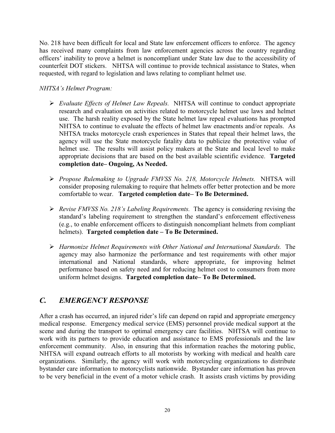No. 218 have been difficult for local and State law enforcement officers to enforce. The agency has received many complaints from law enforcement agencies across the country regarding officers' inability to prove a helmet is noncompliant under State law due to the accessibility of counterfeit DOT stickers. NHTSA will continue to provide technical assistance to States, when requested, with regard to legislation and laws relating to compliant helmet use.

### *NHTSA's Helmet Program:*

- ! *Evaluate Effects of Helmet Law Repeals.* NHTSA will continue to conduct appropriate research and evaluation on activities related to motorcycle helmet use laws and helmet use. The harsh reality exposed by the State helmet law repeal evaluations has prompted NHTSA to continue to evaluate the effects of helmet law enactments and/or repeals. As NHTSA tracks motorcycle crash experiences in States that repeal their helmet laws, the agency will use the State motorcycle fatality data to publicize the protective value of helmet use. The results will assist policy makers at the State and local level to make appropriate decisions that are based on the best available scientific evidence. **Targeted completion date– Ongoing, As Needed.**
- ! *Propose Rulemaking to Upgrade FMVSS No. 218, Motorcycle Helmets.* NHTSA will consider proposing rulemaking to require that helmets offer better protection and be more comfortable to wear. **Targeted completion date– To Be Determined.**
- ! *Revise FMVSS No. 218's Labeling Requirements.* The agency is considering revising the standard's labeling requirement to strengthen the standard's enforcement effectiveness (e.g., to enable enforcement officers to distinguish noncompliant helmets from compliant helmets). **Targeted completion date – To Be Determined.**
- ! *Harmonize Helmet Requirements with Other National and International Standards.* The agency may also harmonize the performance and test requirements with other major international and National standards, where appropriate, for improving helmet performance based on safety need and for reducing helmet cost to consumers from more uniform helmet designs. **Targeted completion date– To Be Determined.**

# *C. EMERGENCY RESPONSE*

After a crash has occurred, an injured rider's life can depend on rapid and appropriate emergency medical response. Emergency medical service (EMS) personnel provide medical support at the scene and during the transport to optimal emergency care facilities. NHTSA will continue to work with its partners to provide education and assistance to EMS professionals and the law enforcement community. Also, in ensuring that this information reaches the motoring public, NHTSA will expand outreach efforts to all motorists by working with medical and health care organizations. Similarly, the agency will work with motorcycling organizations to distribute bystander care information to motorcyclists nationwide. Bystander care information has proven to be very beneficial in the event of a motor vehicle crash. It assists crash victims by providing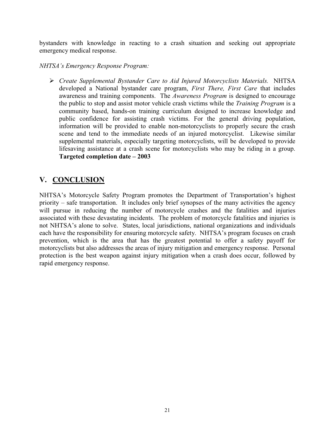bystanders with knowledge in reacting to a crash situation and seeking out appropriate emergency medical response.

#### *NHTSA's Emergency Response Program:*

! *Create Supplemental Bystander Care to Aid Injured Motorcyclists Materials.* NHTSA developed a National bystander care program, *First There, First Care* that includes awareness and training components. The *Awareness Program* is designed to encourage the public to stop and assist motor vehicle crash victims while the *Training Program* is a community based, hands-on training curriculum designed to increase knowledge and public confidence for assisting crash victims. For the general driving population, information will be provided to enable non-motorcyclists to properly secure the crash scene and tend to the immediate needs of an injured motorcyclist. Likewise similar supplemental materials, especially targeting motorcyclists, will be developed to provide lifesaving assistance at a crash scene for motorcyclists who may be riding in a group. **Targeted completion date – 2003** 

# **V. CONCLUSION**

NHTSA's Motorcycle Safety Program promotes the Department of Transportation's highest priority – safe transportation. It includes only brief synopses of the many activities the agency will pursue in reducing the number of motorcycle crashes and the fatalities and injuries associated with these devastating incidents. The problem of motorcycle fatalities and injuries is not NHTSA's alone to solve. States, local jurisdictions, national organizations and individuals each have the responsibility for ensuring motorcycle safety. NHTSA's program focuses on crash prevention, which is the area that has the greatest potential to offer a safety payoff for motorcyclists but also addresses the areas of injury mitigation and emergency response. Personal protection is the best weapon against injury mitigation when a crash does occur, followed by rapid emergency response.